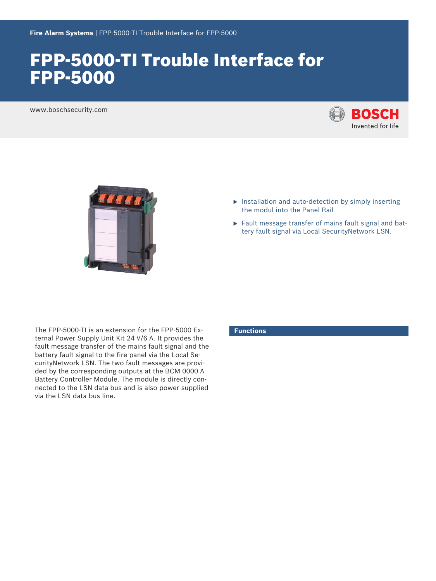# FPP‑5000‑TI Trouble Interface for FPP‑5000

www.boschsecurity.com





- $\blacktriangleright$  Installation and auto-detection by simply inserting the modul into the Panel Rail
- $\blacktriangleright$  Fault message transfer of mains fault signal and battery fault signal via Local SecurityNetwork LSN.

The FPP‑5000‑TI is an extension for the FPP‑5000 External Power Supply Unit Kit 24 V/6 A. It provides the fault message transfer of the mains fault signal and the battery fault signal to the fire panel via the Local SecurityNetwork LSN. The two fault messages are provided by the corresponding outputs at the BCM 0000 A Battery Controller Module. The module is directly connected to the LSN data bus and is also power supplied via the LSN data bus line.

### **Functions**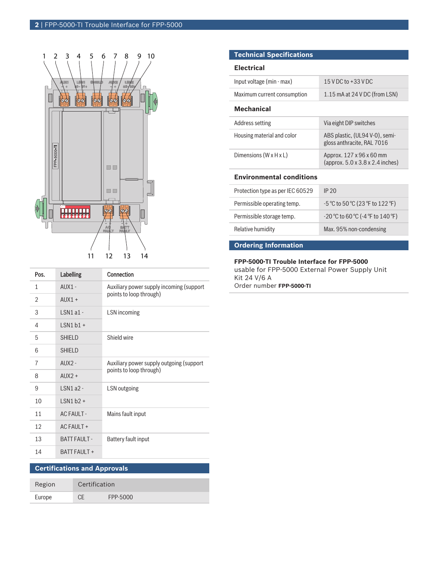

| Pos. | <b>Labelling</b>         | Connection                                                          |
|------|--------------------------|---------------------------------------------------------------------|
| 1    | $AIIX1 -$                | Auxiliary power supply incoming (support<br>points to loop through) |
| 2    | $AIIX1 +$                |                                                                     |
| 3    | $ISN1a1-$                | LSN incoming                                                        |
| 4    | $1$ SN1 b1 +             |                                                                     |
| 5    | <b>SHIELD</b>            | Shield wire                                                         |
| 6    | <b>SHIFID</b>            |                                                                     |
| 7    | $AIIX2 -$                | Auxiliary power supply outgoing (support<br>points to loop through) |
| 8    | $AIIX2 +$                |                                                                     |
| 9    | $ISNI$ a $2-$            | LSN outgoing                                                        |
| 10   | $1$ SN1 b <sub>2</sub> + |                                                                     |
| 11   | <b>ACFAULT-</b>          | Mains fault input                                                   |
| 12   | AC FAULT +               |                                                                     |
| 13   | <b>BATT FAULT -</b>      | Battery fault input                                                 |
| 14   | <b>BATT FAULT +</b>      |                                                                     |

## **Certifications and Approvals**

| Region | Certification |          |
|--------|---------------|----------|
| Europe |               | FPP-5000 |

### **Technical Specifications**

#### **Electrical**

| Input voltage (min - max)          | 15 V DC to +33 V DC                                                                                 |  |  |  |
|------------------------------------|-----------------------------------------------------------------------------------------------------|--|--|--|
| Maximum current consumption        | 1.15 mA at 24 V DC (from LSN)                                                                       |  |  |  |
| <b>Mechanical</b>                  |                                                                                                     |  |  |  |
| Address setting                    | Via eight DIP switches                                                                              |  |  |  |
| Housing material and color         | ABS plastic, (UL94 V-0), semi-<br>gloss anthracite, RAL 7016                                        |  |  |  |
| Dimensions $(W \times H \times L)$ | Approx. 127 x 96 x 60 mm<br>(approx. $5.0 \times 3.8 \times 2.4$ inches)                            |  |  |  |
| <b>Environmental conditions</b>    |                                                                                                     |  |  |  |
| Protection type as per IEC 60529   | IP 20                                                                                               |  |  |  |
| Permissible operating temp.        | $-5^{\circ}$ C to 50 °C (23 °F to 122 °F)                                                           |  |  |  |
| Permissible storage temp.          | $-20\,^{\circ}\text{C}$ to 60 $^{\circ}\text{C}$ (-4 $^{\circ}\text{F}$ to 140 $^{\circ}\text{F}$ ) |  |  |  |
| Relative humidity                  | Max. 95% non-condensing                                                                             |  |  |  |

### **Ordering Information**

#### **FPP‑5000‑TI Trouble Interface for FPP‑5000**

usable for FPP‑5000 External Power Supply Unit Kit 24 V/6 A Order number **FPP-5000-TI**